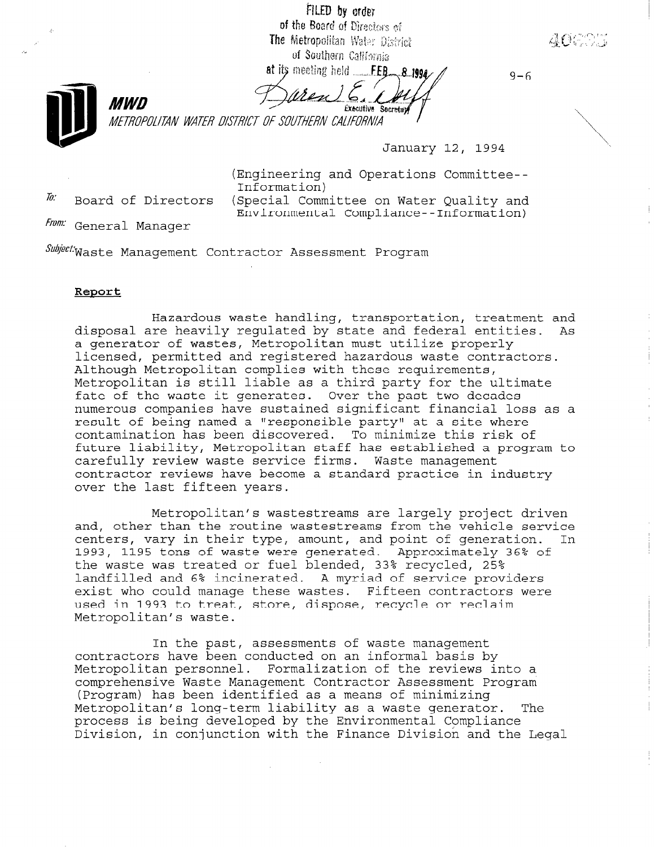FILED by order

of the Board of Directors of The Metropolitan Water District of Southern California

at its meeting held FEB<sub>28.1994</sub>



**Éxecutive Secretay** 

METROPOLITAN WATER DISTRICT OF SOUTHERN CALIFORNIA

January 12, 1994

 $9 - 6$ 

(Engineering and Operations Committee-- Information)<br>*In*. Board of Directors (Special Committee on Water Ouality and

Environmental Compliance--Information)

From: General Manager

SubjectMaste Management Contractor Assessment Program

### Report

Hazardous waste handling, transportation, treatment and disposal are heavily regulated by state and federal entities. As a generator of wastes, Metropolitan must utilize properly licensed, permitted and registered hazardous waste contractors. Although Metropolitan complies with these requirements, Metropolitan is still liable as a third party for the ultimate fate of the waste it generates. Over the past two decades numerous companies have sustained significant financial loss as a result of being named a "responsible party" at a site where contamination has been discovered. To minimize this risk of future liability, Metropolitan staff has established a program to carefully review waste service firms. Waste management contractor reviews have become a standard practice in industry over the last fifteen years.

Metropolitan's wastestreams are largely project driven and, other than the routine wastestreams from the vehicle service centers, vary in their type, amount, and point of generation. In 1993, 1195 tons of waste were generated. Approximately 36% of the waste was treated or fuel blended, 33% recycled, 25% landfilled and 6% incinerated. A myriad of service providers exist who could manage these wastes. Fifteen contractors were exist who could manage these was easy rifle contraction Metropolitan's waste.

In the past, assessments of waste management contractors have been conducted on an informal basis by Metropolitan personnel. Formalization of the reviews into a metropolitical personnel. Portantzation of the reviews fillo .<br>Comprenensive was e management contractor Assessmen (Program) has been identified as a means of minimizing<br>Metropolitan's long-term liability as a waste generator. The Metropolitan's long-term liability as a waste generator. process is being developed by the Environmental Compliance<br>Division, in conjunction with the Finance Division and the Legal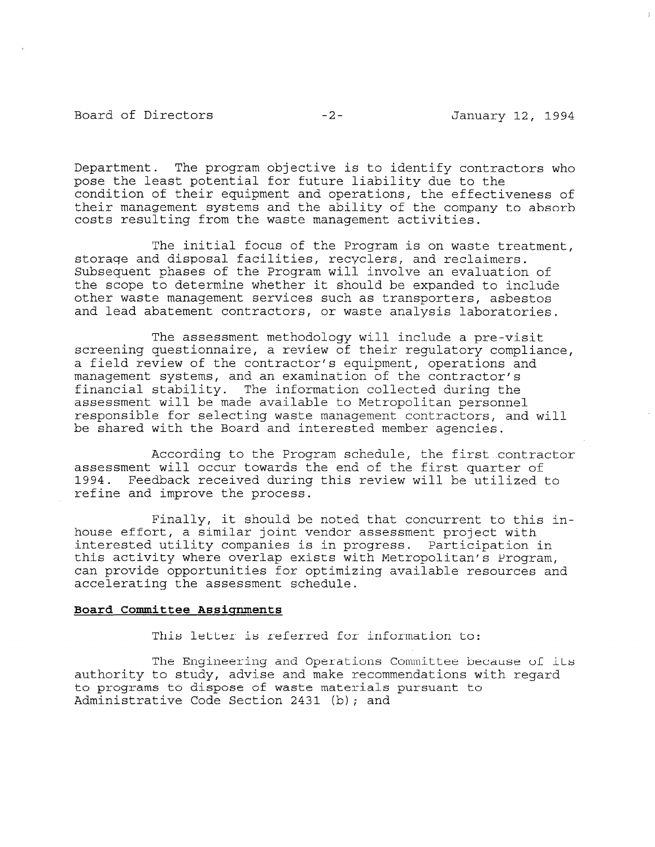## Board of Directors -2- January 12, 1994

Department. The program objective is to identify contractors who pose the least potential for future liability due to the condition of their equipment and operations, the effectiveness of their management systems and the ability of the company to absorb costs resulting from the waste management activities.

The initial focus of the Program is on waste treatment, storage and disposal facilities, recyclers, and reclaimers. Subsequent phases of the Program will involve an evaluation of the scope to determine whether it should be expanded to include other waste management services such as transporters, asbestos and lead abatement contractors, or waste analysis laboratories.

The assessment methodology will include a pre-visit screening questionnaire, a review of their regulatory compliance, a field review of the contractor's equipment, operations and management systems, and an examination of the contractor's financial stability. The information collected during the assessment will be made available to Metropolitan personnel responsible for selecting waste management contractors, and will be shared with the Board and interested member agencies.

According to the Program schedule, the first contractor assessment will occur towards the end of the first quarter of 1994. Feedback received during this review will be utilized to refine and improve the process.

Finally, it should be noted that concurrent to this inhouse effort, a similar joint vendor assessment project with interested utility companies is in progress. Participation in this activity where overlap exists with Metropolitan's Program, can provide opportunities for optimizing available resources and accelerating the assessment schedule.

#### Board Committee Assignments

This letter is referred for information to:

The Engineering and Operations Committee because of its authority to study, advise and make recommendations with regard attributty to stuff, advise and make recommendations LO programs to dispose of waste materials